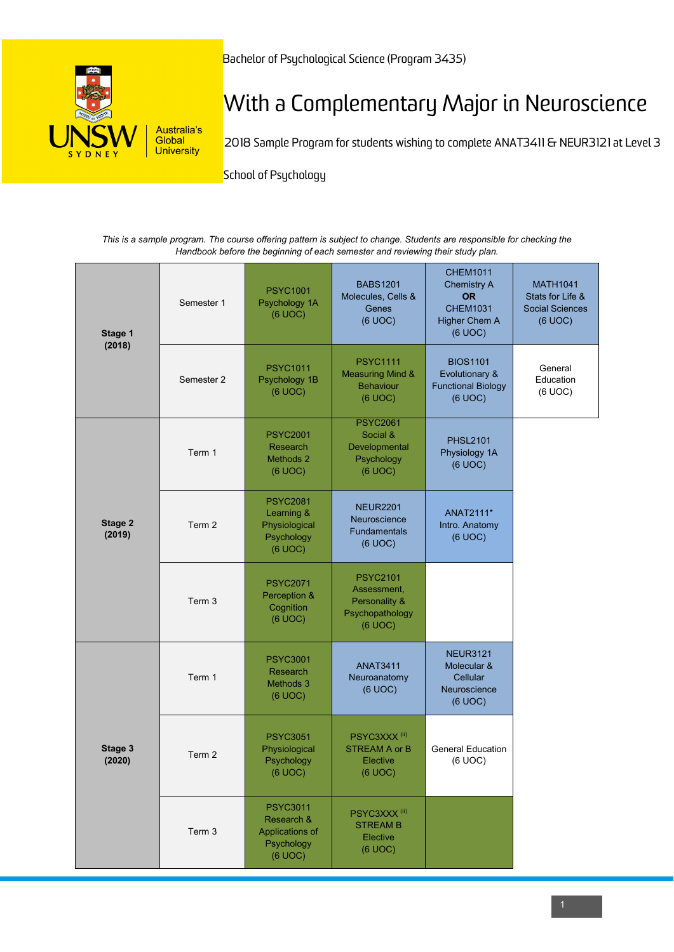

## With a Complementary Major in Neuroscience

2018 Sample Program for students wishing to complete ANAT3411 & NEUR3121 at Level 3

**School of Psychology** 

*This is a sample program. The course offering pattern is subject to change. Students are responsible for checking the Handbook before the beginning of each semester and reviewing their study plan.*

| Stage 1<br>(2018) | Semester 1        | <b>PSYC1001</b><br>Psychology 1A<br>(6 UOC)                               | <b>BABS1201</b><br>Molecules, Cells &<br>Genes<br>(6 UOC)                      | <b>CHEM1011</b><br><b>Chemistry A</b><br><b>OR</b><br><b>CHEM1031</b><br><b>Higher Chem A</b><br>(6 UOC) | <b>MATH1041</b><br>Stats for Life &<br><b>Social Sciences</b><br>(6 UOC) |
|-------------------|-------------------|---------------------------------------------------------------------------|--------------------------------------------------------------------------------|----------------------------------------------------------------------------------------------------------|--------------------------------------------------------------------------|
|                   | Semester 2        | <b>PSYC1011</b><br>Psychology 1B<br>(6 UOC)                               | <b>PSYC1111</b><br><b>Measuring Mind &amp;</b><br><b>Behaviour</b><br>(6 UOC)  | <b>BIOS1101</b><br>Evolutionary &<br><b>Functional Biology</b><br>(6 UOC)                                | General<br>Education<br>(6 UOC)                                          |
| Stage 2<br>(2019) | Term 1            | <b>PSYC2001</b><br>Research<br>Methods 2<br>(6 UOC)                       | <b>PSYC2061</b><br>Social &<br>Developmental<br>Psychology<br>(6 UOC)          | <b>PHSL2101</b><br>Physiology 1A<br>(6 UOC)                                                              |                                                                          |
|                   | Term 2            | <b>PSYC2081</b><br>Learning &<br>Physiological<br>Psychology<br>(6 UOC)   | <b>NEUR2201</b><br>Neuroscience<br>Fundamentals<br>(6 UOC)                     | ANAT2111*<br>Intro. Anatomy<br>(6 UOC)                                                                   |                                                                          |
|                   | Term <sub>3</sub> | <b>PSYC2071</b><br>Perception &<br>Cognition<br>(6 UOC)                   | <b>PSYC2101</b><br>Assessment,<br>Personality &<br>Psychopathology<br>(6 UOC)  |                                                                                                          |                                                                          |
| Stage 3<br>(2020) | Term 1            | <b>PSYC3001</b><br>Research<br>Methods 3<br>(6 UOC)                       | <b>ANAT3411</b><br>Neuroanatomy<br>(6 UOC)                                     | <b>NEUR3121</b><br>Molecular &<br>Cellular<br>Neuroscience<br>(6 UOC)                                    |                                                                          |
|                   | Term 2            | <b>PSYC3051</b><br>Physiological<br>Psychology<br>(6 UOC)                 | PSYC3XXX <sup>(ii)</sup><br><b>STREAM A or B</b><br><b>Elective</b><br>(6 UOC) | <b>General Education</b><br>(6 UOC)                                                                      |                                                                          |
|                   | Term 3            | <b>PSYC3011</b><br>Research &<br>Applications of<br>Psychology<br>(6 UOC) | PSYC3XXX <sup>(ii)</sup><br><b>STREAM B</b><br>Elective<br>(6 UOC)             |                                                                                                          |                                                                          |